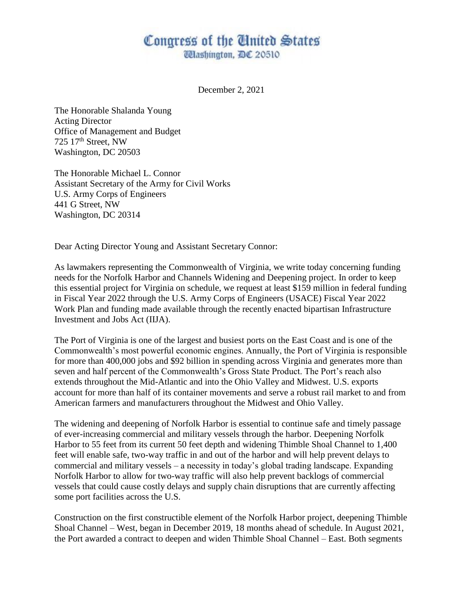## Congress of the United States

*Ulashington, DC 20510* 

December 2, 2021

The Honorable Shalanda Young Acting Director Office of Management and Budget 725 17th Street, NW Washington, DC 20503

The Honorable Michael L. Connor Assistant Secretary of the Army for Civil Works U.S. Army Corps of Engineers 441 G Street, NW Washington, DC 20314

Dear Acting Director Young and Assistant Secretary Connor:

As lawmakers representing the Commonwealth of Virginia, we write today concerning funding needs for the Norfolk Harbor and Channels Widening and Deepening project. In order to keep this essential project for Virginia on schedule, we request at least \$159 million in federal funding in Fiscal Year 2022 through the U.S. Army Corps of Engineers (USACE) Fiscal Year 2022 Work Plan and funding made available through the recently enacted bipartisan Infrastructure Investment and Jobs Act (IIJA).

The Port of Virginia is one of the largest and busiest ports on the East Coast and is one of the Commonwealth's most powerful economic engines. Annually, the Port of Virginia is responsible for more than 400,000 jobs and \$92 billion in spending across Virginia and generates more than seven and half percent of the Commonwealth's Gross State Product. The Port's reach also extends throughout the Mid-Atlantic and into the Ohio Valley and Midwest. U.S. exports account for more than half of its container movements and serve a robust rail market to and from American farmers and manufacturers throughout the Midwest and Ohio Valley.

The widening and deepening of Norfolk Harbor is essential to continue safe and timely passage of ever-increasing commercial and military vessels through the harbor. Deepening Norfolk Harbor to 55 feet from its current 50 feet depth and widening Thimble Shoal Channel to 1,400 feet will enable safe, two-way traffic in and out of the harbor and will help prevent delays to commercial and military vessels – a necessity in today's global trading landscape. Expanding Norfolk Harbor to allow for two-way traffic will also help prevent backlogs of commercial vessels that could cause costly delays and supply chain disruptions that are currently affecting some port facilities across the U.S.

Construction on the first constructible element of the Norfolk Harbor project, deepening Thimble Shoal Channel – West, began in December 2019, 18 months ahead of schedule. In August 2021, the Port awarded a contract to deepen and widen Thimble Shoal Channel – East. Both segments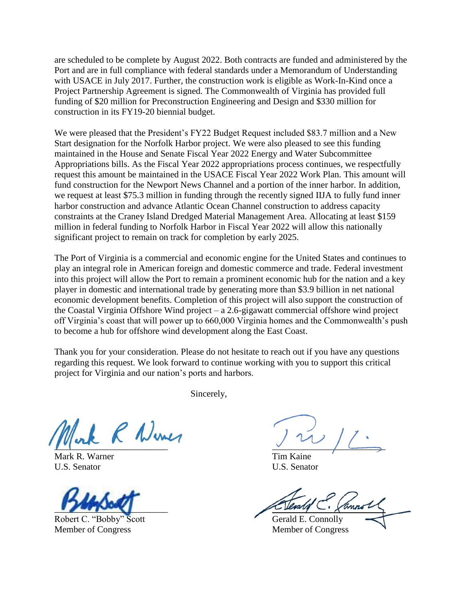are scheduled to be complete by August 2022. Both contracts are funded and administered by the Port and are in full compliance with federal standards under a Memorandum of Understanding with USACE in July 2017. Further, the construction work is eligible as Work-In-Kind once a Project Partnership Agreement is signed. The Commonwealth of Virginia has provided full funding of \$20 million for Preconstruction Engineering and Design and \$330 million for construction in its FY19-20 biennial budget.

We were pleased that the President's FY22 Budget Request included \$83.7 million and a New Start designation for the Norfolk Harbor project. We were also pleased to see this funding maintained in the House and Senate Fiscal Year 2022 Energy and Water Subcommittee Appropriations bills. As the Fiscal Year 2022 appropriations process continues, we respectfully request this amount be maintained in the USACE Fiscal Year 2022 Work Plan. This amount will fund construction for the Newport News Channel and a portion of the inner harbor. In addition, we request at least \$75.3 million in funding through the recently signed IIJA to fully fund inner harbor construction and advance Atlantic Ocean Channel construction to address capacity constraints at the Craney Island Dredged Material Management Area. Allocating at least \$159 million in federal funding to Norfolk Harbor in Fiscal Year 2022 will allow this nationally significant project to remain on track for completion by early 2025.

The Port of Virginia is a commercial and economic engine for the United States and continues to play an integral role in American foreign and domestic commerce and trade. Federal investment into this project will allow the Port to remain a prominent economic hub for the nation and a key player in domestic and international trade by generating more than \$3.9 billion in net national economic development benefits. Completion of this project will also support the construction of the Coastal Virginia Offshore Wind project – a 2.6-gigawatt commercial offshore wind project off Virginia's coast that will power up to 660,000 Virginia homes and the Commonwealth's push to become a hub for offshore wind development along the East Coast.

Thank you for your consideration. Please do not hesitate to reach out if you have any questions regarding this request. We look forward to continue working with you to support this critical project for Virginia and our nation's ports and harbors.

Sincerely,

Mark R. Warner Tim Kaine U.S. Senator U.S. Senator

Robert C. "Bobby" Scott Gerald E. Connolly Member of Congress Member of Congress

 $\sqrt{2}$ 

 $\bigcup_{n\in\mathbb{N}}\bigcup_{i=1}^n\mathbb{Z}_i$  ,  $\bigcup_{i=1}^n\mathbb{Z}_i$  ,  $\bigcap_{i=1}^n\mathbb{Z}_i$